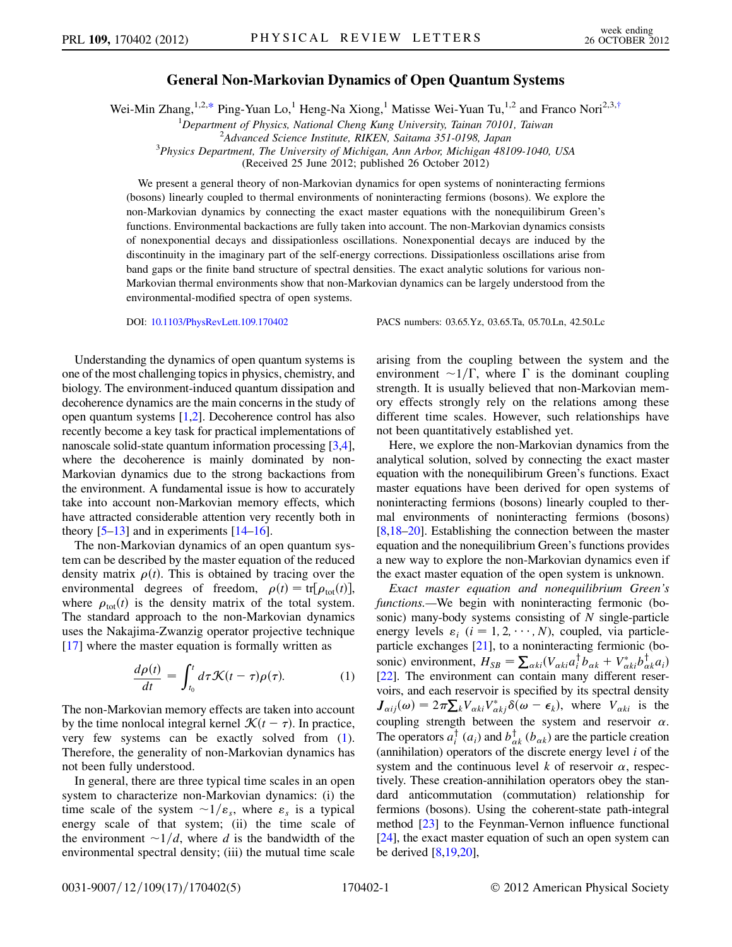## General Non-Markovian Dynamics of Open Quantum Systems

<span id="page-0-1"></span>Wei-Min Zhang,<sup>1,2,[\\*](#page-4-0)</sup> Ping-Yuan Lo,<sup>1</sup> Heng-Na Xiong,<sup>1</sup> Matisse Wei-Yuan Tu,<sup>1,2</sup> and Franco Nori<sup>2,3,[†](#page-4-1)</sup>

<sup>1</sup>Department of Physics, National Cheng Kung University, Tainan 70101, Taiwan  $\frac{2A}{M}$  Alvanced Science Institute, *BIKEN*, Saitama 351,0108, Japan

<sup>2</sup>Advanced Science Institute, RIKEN, Saitama 351-0198, Japan

 $3$ Physics Department, The University of Michigan, Ann Arbor, Michigan 48109-1040, USA

(Received 25 June 2012; published 26 October 2012)

We present a general theory of non-Markovian dynamics for open systems of noninteracting fermions (bosons) linearly coupled to thermal environments of noninteracting fermions (bosons). We explore the non-Markovian dynamics by connecting the exact master equations with the nonequilibirum Green's functions. Environmental backactions are fully taken into account. The non-Markovian dynamics consists of nonexponential decays and dissipationless oscillations. Nonexponential decays are induced by the discontinuity in the imaginary part of the self-energy corrections. Dissipationless oscillations arise from band gaps or the finite band structure of spectral densities. The exact analytic solutions for various non-Markovian thermal environments show that non-Markovian dynamics can be largely understood from the environmental-modified spectra of open systems.

DOI: [10.1103/PhysRevLett.109.170402](http://dx.doi.org/10.1103/PhysRevLett.109.170402) PACS numbers: 03.65.Yz, 03.65.Ta, 05.70.Ln, 42.50.Lc

Understanding the dynamics of open quantum systems is one of the most challenging topics in physics, chemistry, and biology. The environment-induced quantum dissipation and decoherence dynamics are the main concerns in the study of open quantum systems [\[1](#page-4-2),[2\]](#page-4-3). Decoherence control has also recently become a key task for practical implementations of nanoscale solid-state quantum information processing [\[3](#page-4-4)[,4](#page-4-5)], where the decoherence is mainly dominated by non-Markovian dynamics due to the strong backactions from the environment. A fundamental issue is how to accurately take into account non-Markovian memory effects, which have attracted considerable attention very recently both in theory  $[5-13]$  $[5-13]$  and in experiments  $[14-16]$  $[14-16]$  $[14-16]$ .

The non-Markovian dynamics of an open quantum system can be described by the master equation of the reduced density matrix  $\rho(t)$ . This is obtained by tracing over the environmental degrees of freedom,  $\rho(t) = \text{tr}[\rho_{\text{tot}}(t)],$ where  $\rho_{\text{tot}}(t)$  is the density matrix of the total system. The standard approach to the non-Markovian dynamics uses the Nakajima-Zwanzig operator projective technique [\[17\]](#page-4-10) where the master equation is formally written as

$$
\frac{d\rho(t)}{dt} = \int_{t_0}^t d\tau \mathcal{K}(t-\tau)\rho(\tau). \tag{1}
$$

<span id="page-0-0"></span>The non-Markovian memory effects are taken into account by the time nonlocal integral kernel  $\mathcal{K}(t-\tau)$ . In practice,<br>very few systems, can be exactly solved from (1) very few systems can be exactly solved from ([1\)](#page-0-0). Therefore, the generality of non-Markovian dynamics has not been fully understood.

In general, there are three typical time scales in an open system to characterize non-Markovian dynamics: (i) the time scale of the system  $\sim 1/\varepsilon_s$ , where  $\varepsilon_s$  is a typical energy scale of that system; (ii) the time scale of the environment  $\sim 1/d$ , where d is the bandwidth of the environmental spectral density; (iii) the mutual time scale arising from the coupling between the system and the environment  $\sim 1/\Gamma$ , where  $\Gamma$  is the dominant coupling strength. It is usually believed that non-Markovian memory effects strongly rely on the relations among these different time scales. However, such relationships have not been quantitatively established yet.

Here, we explore the non-Markovian dynamics from the analytical solution, solved by connecting the exact master equation with the nonequilibirum Green's functions. Exact master equations have been derived for open systems of noninteracting fermions (bosons) linearly coupled to thermal environments of noninteracting fermions (bosons) [\[8](#page-4-11)[,18](#page-4-12)[–20\]](#page-4-13). Establishing the connection between the master equation and the nonequilibrium Green's functions provides a new way to explore the non-Markovian dynamics even if the exact master equation of the open system is unknown.

Exact master equation and nonequilibrium Green's functions.—We begin with noninteracting fermonic (bosonic) many-body systems consisting of  $N$  single-particle energy levels  $\varepsilon_i$  ( $i = 1, 2, \dots, N$ ), coupled, via particleparticle exchanges [\[21\]](#page-4-14), to a noninteracting fermionic (bosonic) environment,  $H_{SB} = \sum_{\alpha kl} (V_{\alpha kl} a_i^{\dagger} b_{\alpha k} + V_{\alpha kl}^* b_{\alpha k}^{\dagger} a_i)$ <br>[22] The environment can contain many different reser-[\[22\]](#page-4-15). The environment can contain many different reservoirs, and each reservoir is specified by its spectral density  $J_{aij}(\omega) = 2\pi \sum_{k} V_{\alpha k i} V_{\alpha k j}^{*} \delta(\omega - \epsilon_{k}),$  where  $V_{\alpha k i}$  is the coupling strength between the system and reservoir  $\alpha$ . The operators  $a_i^{\dagger}$  ( $a_i$ ) and  $b_{\alpha k}^{\dagger}$  ( $b_{\alpha k}$ ) are the particle creation (annihilation) operators of the discrete energy level  $i$  of the system and the continuous level k of reservoir  $\alpha$ , respectively. These creation-annihilation operators obey the standard anticommutation (commutation) relationship for fermions (bosons). Using the coherent-state path-integral method [[23\]](#page-4-16) to the Feynman-Vernon influence functional [\[24\]](#page-4-17), the exact master equation of such an open system can be derived [[8,](#page-4-11)[19](#page-4-18)[,20](#page-4-13)],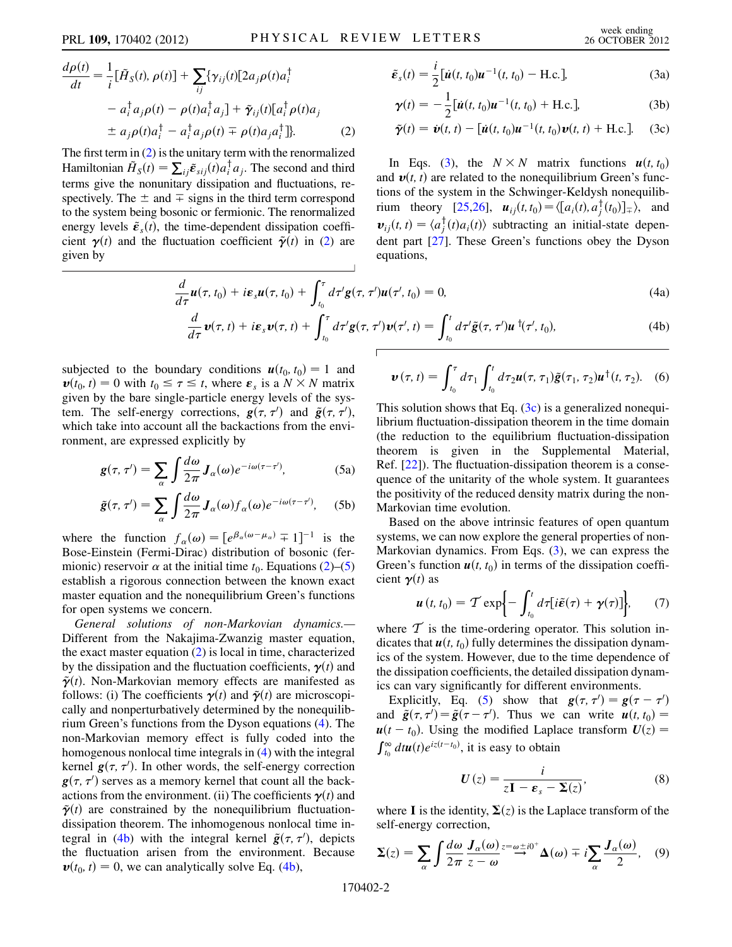<span id="page-1-1"></span>
$$
\frac{d\rho(t)}{dt} = \frac{1}{i} [\tilde{H}_S(t), \rho(t)] + \sum_{ij} {\gamma_{ij}(t)[2a_j \rho(t)a_i^{\dagger} + a_i^{\dagger} a_j \rho(t) - \rho(t)a_i^{\dagger} a_j] + \tilde{\gamma}_{ij}(t)[a_i^{\dagger} \rho(t)a_j + a_j \rho(t)a_i^{\dagger} - a_i^{\dagger} a_j \rho(t) + \rho(t)a_j a_i^{\dagger} ]}.
$$
\n(2)

<span id="page-1-0"></span>The first term in  $(2)$  $(2)$  is the unitary term with the renormalized Hamiltonian  $\tilde{H}_S(t) = \sum_{ij} \tilde{\epsilon}_{sij}(t) a_i^{\dagger} a_j$ . The second and third terms give the nonunitary discipation and fluctuations reterms give the nonunitary dissipation and fluctuations, respectively. The  $\pm$  and  $\pm$  signs in the third term correspond to the system being bosonic or fermionic. The renormalized energy levels  $\tilde{\mathbf{\varepsilon}}_s(t)$ , the time-dependent dissipation coefficient  $\gamma(t)$  and the fluctuation coefficient  $\tilde{\gamma}(t)$  in [\(2](#page-1-0)) are given by

$$
\tilde{\boldsymbol{\varepsilon}}_s(t) = \frac{i}{2} [\dot{\boldsymbol{u}}(t, t_0) \boldsymbol{u}^{-1}(t, t_0) - \text{H.c.}],
$$
\n(3a)

$$
\gamma(t) = -\frac{1}{2} [\dot{\boldsymbol{u}}(t, t_0) \boldsymbol{u}^{-1}(t, t_0) + \text{H.c.}],
$$
\n(3b)\n
$$
\tilde{\gamma}(t) = \dot{\boldsymbol{v}}(t, t) - [\dot{\boldsymbol{u}}(t, t_0) \boldsymbol{u}^{-1}(t, t_0) \boldsymbol{v}(t_0) + \text{H.c.}]
$$
\n(3c)

$$
\tilde{\boldsymbol{\gamma}}(t) = \dot{\boldsymbol{\nu}}(t, t) - [\dot{\boldsymbol{u}}(t, t_0)\boldsymbol{u}^{-1}(t, t_0)\boldsymbol{\nu}(t, t) + \text{H.c.}]. \quad (3c)
$$

In Eqs. ([3](#page-1-1)), the  $N \times N$  matrix functions  $u(t, t_0)$ and  $\mathbf{v}(t, t)$  are related to the nonequilibrium Green's functions of the system in the Schwinger-Keldysh nonequilib-rium theory [\[25](#page-4-19)[,26\]](#page-4-20),  $u_{ij}(t, t_0) = \langle [a_i(t), a_j^{\dagger}(t_0)]_{\pm} \rangle$ , and<br> $u_{ij}(t, t) = \langle a_i^{\dagger}(t), a_j(t) \rangle$  subtractive are initial atotal degree  $v_{ij}(t, t) = \langle a_j^{\dagger}(t) a_i(t) \rangle$  subtracting an initial-state dependent part [27]. These Green's functions about the Dyson dent part [\[27\]](#page-4-21). These Green's functions obey the Dyson equations,

$$
\frac{d}{d\tau}\boldsymbol{u}(\tau,t_0) + i\boldsymbol{\varepsilon}_s\boldsymbol{u}(\tau,t_0) + \int_{t_0}^{\tau} d\tau' \boldsymbol{g}(\tau,\tau')\boldsymbol{u}(\tau',t_0) = 0, \tag{4a}
$$

$$
\frac{d}{d\tau}\boldsymbol{v}(\tau,t)+i\boldsymbol{\varepsilon}_s\boldsymbol{v}(\tau,t)+\int_{t_0}^{\tau}d\tau'\boldsymbol{g}(\tau,\tau')\boldsymbol{v}(\tau',t)=\int_{t_0}^{t}d\tau'\tilde{\boldsymbol{g}}(\tau,\tau')\boldsymbol{u}^{\dagger}(\tau',t_0),
$$
\n(4b)

<span id="page-1-3"></span>subjected to the boundary conditions  $u(t_0, t_0) = 1$  and  $\mathbf{v}(t_0, t) = 0$  with  $t_0 \le \tau \le t$ , where  $\varepsilon_s$  is a  $N \times N$  matrix given by the bare single-particle energy levels of the sysgiven by the bare single-particle energy levels of the system. The self-energy corrections,  $g(\tau, \tau')$  and  $\tilde{g}(\tau, \tau')$ ,<br>which take into account all the backactions from the enviwhich take into account all the backactions from the environment, are expressed explicitly by

<span id="page-1-2"></span>
$$
g(\tau, \tau') = \sum_{\alpha} \int \frac{d\omega}{2\pi} J_{\alpha}(\omega) e^{-i\omega(\tau - \tau')}, \tag{5a}
$$

$$
\tilde{g}(\tau,\tau') = \sum_{\alpha} \int \frac{d\omega}{2\pi} J_{\alpha}(\omega) f_{\alpha}(\omega) e^{-i\omega(\tau-\tau')}, \quad (5b)
$$

where the function  $f_{\alpha}(\omega) = [e^{\beta_{\alpha}(\omega - \mu_{\alpha})} \mp 1]^{-1}$  is the<br>Bose-Einstein (Fermi-Dirac) distribution of bosonic (fer-Bose-Einstein (Fermi-Dirac) distribution of bosonic (fermionic) reservoir  $\alpha$  at the initial time  $t_0$ . Equations ([2](#page-1-0))–[\(5\)](#page-1-2) establish a rigorous connection between the known exact master equation and the nonequilibrium Green's functions for open systems we concern.

General solutions of non-Markovian dynamics.— Different from the Nakajima-Zwanzig master equation, the exact master equation ([2](#page-1-0)) is local in time, characterized by the dissipation and the fluctuation coefficients,  $\gamma(t)$  and  $\tilde{\gamma}(t)$ . Non-Markovian memory effects are manifested as follows: (i) The coefficients  $\gamma(t)$  and  $\tilde{\gamma}(t)$  are microscopically and nonperturbatively determined by the nonequilibrium Green's functions from the Dyson equations ([4\)](#page-1-3). The non-Markovian memory effect is fully coded into the homogenous nonlocal time integrals in [\(4\)](#page-1-3) with the integral kernel  $g(\tau, \tau')$ . In other words, the self-energy correction  $g(\tau, \tau')$  serves as a memory kernel that count all the back $g(\tau, \tau')$  serves as a memory kernel that count all the back-<br>actions from the environment (ii) The coefficients  $v(t)$  and actions from the environment. (ii) The coefficients  $\gamma(t)$  and  $\tilde{\gamma}(t)$  are constrained by the nonequilibrium fluctuationdissipation theorem. The inhomogenous nonlocal time in-tegral in [\(4b\)](#page-1-3) with the integral kernel  $\tilde{g}(\tau, \tau')$ , depicts<br>the fluctuation arisen from the environment. Because the fluctuation arisen from the environment. Because  $\mathbf{v}(t_0, t) = 0$ , we can analytically solve Eq. ([4b](#page-1-3)),

<span id="page-1-5"></span>
$$
\boldsymbol{v}(\tau,t)=\int_{t_0}^{\tau}d\tau_1\int_{t_0}^{t}d\tau_2\boldsymbol{u}(\tau,\tau_1)\tilde{\boldsymbol{g}}(\tau_1,\tau_2)\boldsymbol{u}^{\dagger}(t,\tau_2). \quad (6)
$$

This solution shows that Eq.  $(3c)$  $(3c)$  is a generalized nonequilibrium fluctuation-dissipation theorem in the time domain (the reduction to the equilibrium fluctuation-dissipation theorem is given in the Supplemental Material, Ref. [\[22\]](#page-4-15)). The fluctuation-dissipation theorem is a consequence of the unitarity of the whole system. It guarantees the positivity of the reduced density matrix during the non-Markovian time evolution.

Based on the above intrinsic features of open quantum systems, we can now explore the general properties of non-Markovian dynamics. From Eqs. ([3](#page-1-1)), we can express the Green's function  $u(t, t_0)$  in terms of the dissipation coefficient  $\gamma(t)$  as

$$
\boldsymbol{u}(t,t_0) = \mathcal{T} \exp\biggl\{-\int_{t_0}^t d\tau [i\tilde{\boldsymbol{\varepsilon}}(\tau) + \boldsymbol{\gamma}(\tau)]\biggr\},\qquad(7)
$$

where  $T$  is the time-ordering operator. This solution indicates that  $u(t, t_0)$  fully determines the dissipation dynamics of the system. However, due to the time dependence of the dissipation coefficients, the detailed dissipation dynamics can vary significantly for different environments.

Explicitly, Eq. ([5\)](#page-1-2) show that  $g(\tau, \tau') = g(\tau - \tau')$ <br>d  $\tilde{\sigma}(\tau, \tau') = \tilde{\sigma}(\tau - \tau')$  Thus we can write  $u(t, t_0) =$ and  $\tilde{g}(\tau, \tau') = \tilde{g}(\tau - \tau')$ . Thus we can write  $u(t, t_0) =$ <br> $u(t - t_0)$ . Using the modified Laplace transform  $U(\tau) =$  $u(t - t_0)$ . Using the modified Laplace transform  $U(z) =$  $\int_{t_0}^{\infty} dt \boldsymbol{u}(t) e^{iz(t-t_0)}$ , it is easy to obtain

$$
U(z) = \frac{i}{z\mathbf{I} - \boldsymbol{\varepsilon}_s - \boldsymbol{\Sigma}(z)},
$$
\n(8)

<span id="page-1-4"></span>where **I** is the identity,  $\Sigma(z)$  is the Laplace transform of the self-energy correction,

$$
\Sigma(z) = \sum_{\alpha} \int \frac{d\omega}{2\pi} \frac{J_{\alpha}(\omega)}{z - \omega} z^{\frac{-\omega + i0^+}{2}} \Delta(\omega) \mp i \sum_{\alpha} \frac{J_{\alpha}(\omega)}{2}, \quad (9)
$$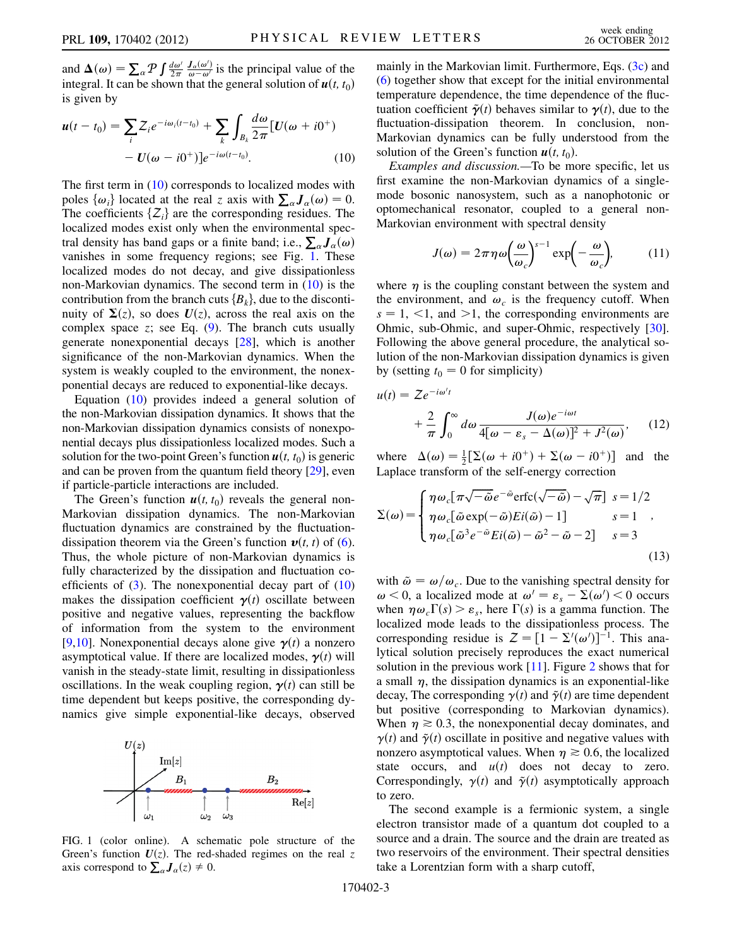and  $\Delta(\omega) = \sum_{\alpha} P \int \frac{d\omega'}{2\pi}$ <br>integral. It can be shown  $\frac{J_a(\omega')}{\omega - \omega'}$  is the principal value of the<br>that the general solution of  $u(t, t_0)$ integral. It can be shown that the general solution of  $u(t, t_0)$ is given by

<span id="page-2-0"></span>
$$
\mathbf{u}(t-t_0) = \sum_i Z_i e^{-i\omega_i(t-t_0)} + \sum_k \int_{B_k} \frac{d\omega}{2\pi} \left[ U(\omega + i0^+) \right] - U(\omega - i0^+) ]e^{-i\omega(t-t_0)}.
$$
 (10)

The first term in ([10](#page-2-0)) corresponds to localized modes with poles  $\{\omega_i\}$  located at the real z axis with  $\sum_{\alpha} J_{\alpha}(\omega) = 0$ .<br>The coefficients  $\{Z_i\}$  are the corresponding residues. The The coefficients  $\{Z_i\}$  are the corresponding residues. The localized modes exist only when the environmental spectral density has band gaps or a finite band; i.e.,  $\sum_{\alpha} J_{\alpha}(\omega)$ <br>vanishes in some frequency regions: see Fig. 1. These vanishes in some frequency regions; see Fig. [1](#page-2-1). These localized modes do not decay, and give dissipationless non-Markovian dynamics. The second term in [\(10\)](#page-2-0) is the contribution from the branch cuts  ${B_k}$ , due to the discontinuity of  $\Sigma(z)$ , so does  $U(z)$ , across the real axis on the complex space z; see Eq.  $(9)$  $(9)$ . The branch cuts usually generate nonexponential decays [\[28\]](#page-4-22), which is another significance of the non-Markovian dynamics. When the system is weakly coupled to the environment, the nonexponential decays are reduced to exponential-like decays.

Equation [\(10\)](#page-2-0) provides indeed a general solution of the non-Markovian dissipation dynamics. It shows that the non-Markovian dissipation dynamics consists of nonexponential decays plus dissipationless localized modes. Such a solution for the two-point Green's function  $u(t, t_0)$  is generic and can be proven from the quantum field theory [\[29](#page-4-23)], even if particle-particle interactions are included.

The Green's function  $u(t, t_0)$  reveals the general non-Markovian dissipation dynamics. The non-Markovian fluctuation dynamics are constrained by the fluctuationdissipation theorem via the Green's function  $v(t, t)$  of ([6\)](#page-1-5). Thus, the whole picture of non-Markovian dynamics is fully characterized by the dissipation and fluctuation coefficients of  $(3)$ . The nonexponential decay part of  $(10)$ makes the dissipation coefficient  $\gamma(t)$  oscillate between positive and negative values, representing the backflow of information from the system to the environment [\[9,](#page-4-24)[10\]](#page-4-25). Nonexponential decays alone give  $\gamma(t)$  a nonzero asymptotical value. If there are localized modes,  $\gamma(t)$  will vanish in the steady-state limit, resulting in dissipationless oscillations. In the weak coupling region,  $\gamma(t)$  can still be time dependent but keeps positive, the corresponding dynamics give simple exponential-like decays, observed

<span id="page-2-1"></span>

FIG. 1 (color online). A schematic pole structure of the Green's function  $U(z)$ . The red-shaded regimes on the real z axis correspond to  $\sum_{\alpha} J_{\alpha}(z) \neq 0$ .

mainly in the Markovian limit. Furthermore, Eqs. ([3c\)](#page-1-1) and [\(6\)](#page-1-5) together show that except for the initial environmental temperature dependence, the time dependence of the fluctuation coefficient  $\tilde{\gamma}(t)$  behaves similar to  $\gamma(t)$ , due to the fluctuation-dissipation theorem. In conclusion, non-Markovian dynamics can be fully understood from the solution of the Green's function  $u(t, t_0)$ .

Examples and discussion.—To be more specific, let us first examine the non-Markovian dynamics of a singlemode bosonic nanosystem, such as a nanophotonic or optomechanical resonator, coupled to a general non-Markovian environment with spectral density

$$
J(\omega) = 2\pi \eta \omega \left(\frac{\omega}{\omega_c}\right)^{s-1} \exp\left(-\frac{\omega}{\omega_c}\right),\tag{11}
$$

where  $\eta$  is the coupling constant between the system and the environment, and  $\omega_c$  is the frequency cutoff. When  $s = 1,$  <1, and >1, the corresponding environments are Ohmic, sub-Ohmic, and super-Ohmic, respectively [[30\]](#page-4-26). Following the above general procedure, the analytical solution of the non-Markovian dissipation dynamics is given by (setting  $t_0 = 0$  for simplicity)

$$
u(t) = Ze^{-i\omega't}
$$
  
+  $\frac{2}{\pi} \int_0^\infty d\omega \frac{J(\omega)e^{-i\omega t}}{4[\omega - \varepsilon_s - \Delta(\omega)]^2 + J^2(\omega)},$  (12)

where  $\Delta(\omega) = \frac{1}{2} [\Sigma(\omega + i0^+) + \Sigma(\omega - i0^+)]$  and the<br>Laplace transform of the self-energy correction Laplace transform of the self-energy correction

$$
\Sigma(\omega) = \begin{cases}\n\eta \omega_c [\pi \sqrt{-\tilde{\omega}} e^{-\tilde{\omega}} \text{erfc}(\sqrt{-\tilde{\omega}}) - \sqrt{\pi}] \ s = 1/2 \\
\eta \omega_c [\tilde{\omega} \exp(-\tilde{\omega}) E i(\tilde{\omega}) - 1] \ s = 1 \\
\eta \omega_c [\tilde{\omega}^3 e^{-\tilde{\omega}} E i(\tilde{\omega}) - \tilde{\omega}^2 - \tilde{\omega} - 2] \ s = 3\n\end{cases}
$$
\n(13)

with  $\tilde{\omega} = \omega/\omega_c$ . Due to the vanishing spectral density for  $\omega$  < 0, a localized mode at  $\omega' = \varepsilon_s - \Sigma(\omega') < 0$  occurs<br>when  $\eta \omega$   $\Gamma(s) > \varepsilon$  here  $\Gamma(s)$  is a gamma function. The when  $\eta \omega_c \Gamma(s) > \varepsilon_s$ , here  $\Gamma(s)$  is a gamma function. The localized mode leads to the dissinationless process. The localized mode leads to the dissipationless process. The corresponding residue is  $Z = [1 - \Sigma'(\omega')]^{-1}$ . This ana-<br>lytical solution precisely reproduces the exact numerical corresponding residue is  $2 - [1 - 2(\omega)]$ . This analytical solution precisely reproduces the exact numerical solution in the previous work [[11](#page-4-27)]. Figure [2](#page-3-0) shows that for a small  $\eta$ , the dissipation dynamics is an exponential-like decay, The corresponding  $\gamma(t)$  and  $\tilde{\gamma}(t)$  are time dependent but positive (corresponding to Markovian dynamics). When  $\eta \ge 0.3$ , the nonexponential decay dominates, and  $\gamma(t)$  and  $\tilde{\gamma}(t)$  oscillate in positive and negative values with  $\gamma(t)$  and  $\tilde{\gamma}(t)$  oscillate in positive and negative values with nonzero asymptotical values. When  $\eta \ge 0.6$ , the localized<br>state occurs and  $u(t)$  does not decay to zero state occurs, and  $u(t)$  does not decay to zero. Correspondingly,  $\gamma(t)$  and  $\tilde{\gamma}(t)$  asymptotically approach to zero.

The second example is a fermionic system, a single electron transistor made of a quantum dot coupled to a source and a drain. The source and the drain are treated as two reservoirs of the environment. Their spectral densities take a Lorentzian form with a sharp cutoff,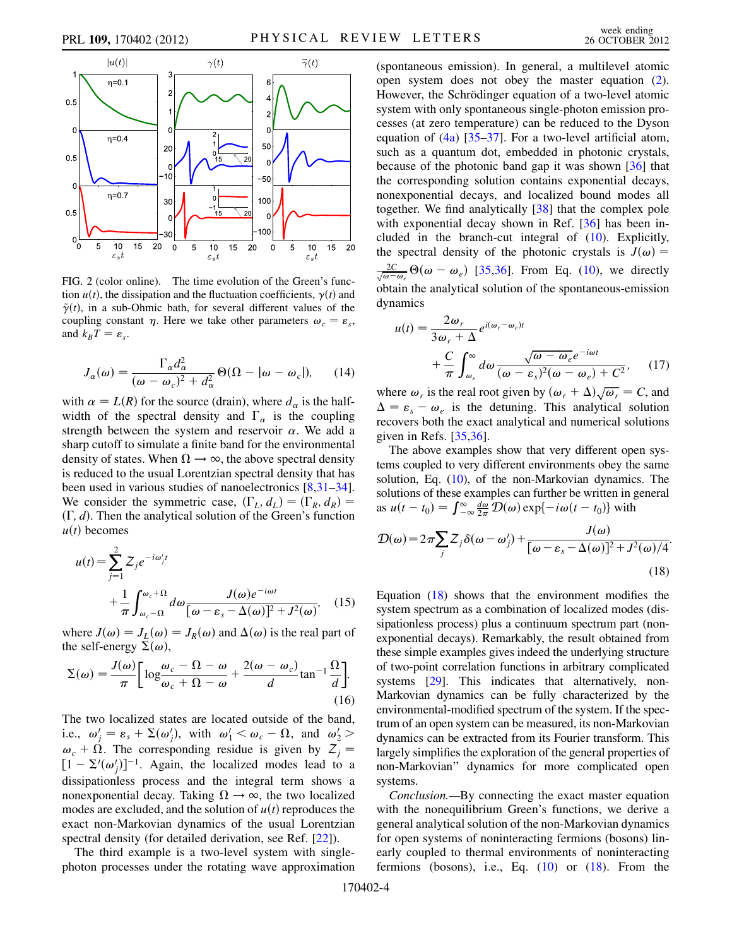<span id="page-3-0"></span>

FIG. 2 (color online). The time evolution of the Green's function  $u(t)$ , the dissipation and the fluctuation coefficients,  $\gamma(t)$  and  $\tilde{\gamma}(t)$ , in a sub-Ohmic bath, for several different values of the coupling constant  $\eta$ . Here we take other parameters  $\omega_c = \varepsilon_s$ , and  $k_BT = \varepsilon_s$ .

$$
J_{\alpha}(\omega) = \frac{\Gamma_{\alpha}d_{\alpha}^{2}}{(\omega - \omega_{c})^{2} + d_{\alpha}^{2}} \Theta(\Omega - |\omega - \omega_{c}|), \qquad (14)
$$

with  $\alpha = L(R)$  for the source (drain), where  $d_{\alpha}$  is the halfwidth of the spectral density and  $\Gamma_{\alpha}$  is the coupling strength between the system and reservoir  $\alpha$ . We add a sharp cutoff to simulate a finite band for the environmental density of states. When  $\Omega \rightarrow \infty$ , the above spectral density is reduced to the usual Lorentzian spectral density that has been used in various studies of nanoelectronics [[8](#page-4-11),[31](#page-4-28)–[34\]](#page-4-29). We consider the symmetric case,  $(\Gamma_L, d_L) = (\Gamma_R, d_R) =$  $(\Gamma, d)$ . Then the analytical solution of the Green's function  $u(t)$  becomes

$$
u(t) = \sum_{j=1}^{2} Z_j e^{-i\omega'_j t}
$$
  
+ 
$$
\frac{1}{\pi} \int_{\omega_c - \Omega}^{\omega_c + \Omega} d\omega \frac{J(\omega) e^{-i\omega t}}{[\omega - \varepsilon_s - \Delta(\omega)]^2 + J^2(\omega)}, \quad (15)
$$

where  $J(\omega) = J_L(\omega) = J_R(\omega)$  and  $\Delta(\omega)$  is the real part of<br>the self-energy  $\Sigma(\omega)$ the self-energy  $\Sigma(\omega)$ ,

$$
\Sigma(\omega) = \frac{J(\omega)}{\pi} \left[ \log \frac{\omega_c - \Omega - \omega}{\omega_c + \Omega - \omega} + \frac{2(\omega - \omega_c)}{d} \tan^{-1} \frac{\Omega}{d} \right].
$$
\n(16)

The two localized states are located outside of the band, i.e.,  $\omega'_j = \varepsilon_s + \Sigma(\omega'_j)$ , with  $\omega'_1 < \omega_c - \Omega$ , and  $\omega'_2 >$ <br>  $\omega_t + \Omega$ . The corresponding regidue is given by  $Z =$  $\omega_c + \Omega$ . The corresponding residue is given by  $Z_j =$ dissipationless process and the integral term shows a  $-\Sigma'(\omega'_j)^{-1}$ . Again, the localized modes lead to a singlenonexponential decay. Taking  $\Omega \rightarrow \infty$ , the two localized modes are excluded, and the solution of  $u(t)$  reproduces the exact non-Markovian dynamics of the usual Lorentzian spectral density (for detailed derivation, see Ref. [\[22\]](#page-4-15)).

The third example is a two-level system with singlephoton processes under the rotating wave approximation (spontaneous emission). In general, a multilevel atomic open system does not obey the master equation ([2\)](#page-1-0). However, the Schrödinger equation of a two-level atomic system with only spontaneous single-photon emission processes (at zero temperature) can be reduced to the Dyson equation of  $(4a)$  $(4a)$  [[35](#page-4-30)[–37\]](#page-4-31). For a two-level artificial atom, such as a quantum dot, embedded in photonic crystals, because of the photonic band gap it was shown  $\left[36\right]$  $\left[36\right]$  $\left[36\right]$  that the corresponding solution contains exponential decays, nonexponential decays, and localized bound modes all together. We find analytically [[38](#page-4-33)] that the complex pole with exponential decay shown in Ref. [\[36\]](#page-4-32) has been included in the branch-cut integral of [\(10\)](#page-2-0). Explicitly, the spectral density of the photonic crystals is  $J(\omega) =$  $\frac{2C}{\sqrt{\omega - \omega_e}} \Theta(\omega - \omega_e)$  [[35](#page-4-30),[36](#page-4-32)]. From Eq. ([10](#page-2-0)), we directly obtain the analytical solution of the spontaneous-emission dynamics

$$
u(t) = \frac{2\omega_r}{3\omega_r + \Delta} e^{i(\omega_r - \omega_e)t} + \frac{C}{\pi} \int_{\omega_e}^{\infty} d\omega \frac{\sqrt{\omega - \omega_e} e^{-i\omega t}}{(\omega - \varepsilon_s)^2 (\omega - \omega_e) + C^2}, \quad (17)
$$

where  $\omega_r$  is the real root given by  $(\omega_r + \Delta)\sqrt{\omega_r} = C$ , and  $\Delta = \varepsilon = \omega_r$  is the detuning. This analytical solution  $r_{s} = r_{s} + r_{e}$  and accurating. This almost analytical and numerical solutions  $\Delta = \varepsilon_s - \omega_e$  is the detuning. This analytical solutions<br>recovers both the exact analytical and numerical solutions given in Refs. [\[35,](#page-4-30)[36\]](#page-4-32).

The above examples show that very different open systems coupled to very different environments obey the same solution, Eq. [\(10\)](#page-2-0), of the non-Markovian dynamics. The solutions of these examples can further be written in general as  $u(t - t_0) = \int_{-\infty}^{\infty} \frac{d\omega}{2\pi} \mathcal{D}(\omega) \exp\{-i\omega(t - t_0)\}\text{ with}$ 

<span id="page-3-1"></span>
$$
\mathcal{D}(\omega) = 2\pi \sum_{j} Z_{j} \delta(\omega - \omega_{j}') + \frac{J(\omega)}{[\omega - \varepsilon_{s} - \Delta(\omega)]^{2} + J^{2}(\omega)/4}.
$$
\n(18)

Equation ([18](#page-3-1)) shows that the environment modifies the system spectrum as a combination of localized modes (dissipationless process) plus a continuum spectrum part (nonexponential decays). Remarkably, the result obtained from these simple examples gives indeed the underlying structure of two-point correlation functions in arbitrary complicated systems [\[29\]](#page-4-23). This indicates that alternatively, non-Markovian dynamics can be fully characterized by the environmental-modified spectrum of the system. If the spectrum of an open system can be measured, its non-Markovian dynamics can be extracted from its Fourier transform. This largely simplifies the exploration of the general properties of non-Markovian'' dynamics for more complicated open systems.

Conclusion.—By connecting the exact master equation with the nonequilibrium Green's functions, we derive a general analytical solution of the non-Markovian dynamics for open systems of noninteracting fermions (bosons) linearly coupled to thermal environments of noninteracting fermions (bosons), i.e., Eq.  $(10)$  $(10)$  $(10)$  or  $(18)$  $(18)$ . From the